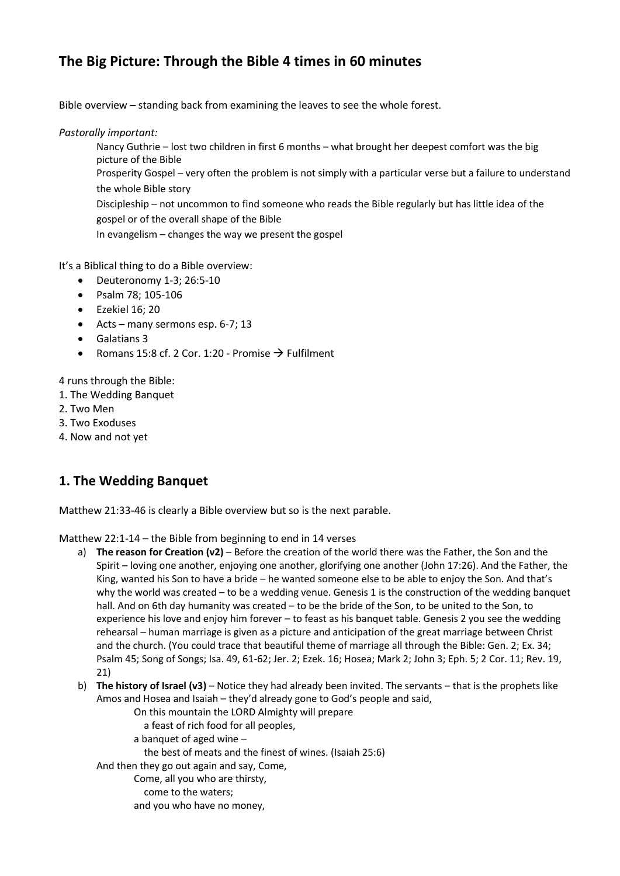### **The Big Picture: Through the Bible 4 times in 60 minutes**

Bible overview – standing back from examining the leaves to see the whole forest.

*Pastorally important:*

Nancy Guthrie – lost two children in first 6 months – what brought her deepest comfort was the big picture of the Bible

Prosperity Gospel – very often the problem is not simply with a particular verse but a failure to understand the whole Bible story

Discipleship – not uncommon to find someone who reads the Bible regularly but has little idea of the gospel or of the overall shape of the Bible

In evangelism – changes the way we present the gospel

It's a Biblical thing to do a Bible overview:

- Deuteronomy 1-3; 26:5-10
- Psalm 78; 105-106
- Ezekiel 16; 20
- $\bullet$  Acts many sermons esp. 6-7; 13
- Galatians 3
- Romans 15:8 cf. 2 Cor. 1:20 Promise  $\rightarrow$  Fulfilment

4 runs through the Bible:

- 1. The Wedding Banquet
- 2. Two Men
- 3. Two Exoduses
- 4. Now and not yet

#### **1. The Wedding Banquet**

Matthew 21:33-46 is clearly a Bible overview but so is the next parable.

Matthew 22:1-14 – the Bible from beginning to end in 14 verses

- a) **The reason for Creation (v2)** Before the creation of the world there was the Father, the Son and the Spirit – loving one another, enjoying one another, glorifying one another (John 17:26). And the Father, the King, wanted his Son to have a bride – he wanted someone else to be able to enjoy the Son. And that's why the world was created – to be a wedding venue. Genesis 1 is the construction of the wedding banquet hall. And on 6th day humanity was created – to be the bride of the Son, to be united to the Son, to experience his love and enjoy him forever – to feast as his banquet table. Genesis 2 you see the wedding rehearsal – human marriage is given as a picture and anticipation of the great marriage between Christ and the church. (You could trace that beautiful theme of marriage all through the Bible: Gen. 2; Ex. 34; Psalm 45; Song of Songs; Isa. 49, 61-62; Jer. 2; Ezek. 16; Hosea; Mark 2; John 3; Eph. 5; 2 Cor. 11; Rev. 19, 21)
- b) **The history of Israel (v3)** Notice they had already been invited. The servants that is the prophets like Amos and Hosea and Isaiah – they'd already gone to God's people and said,
	- On this mountain the LORD Almighty will prepare a feast of rich food for all peoples,
	- a banquet of aged wine –
	- the best of meats and the finest of wines. (Isaiah 25:6)

And then they go out again and say, Come,

- Come, all you who are thirsty, come to the waters;
- and you who have no money,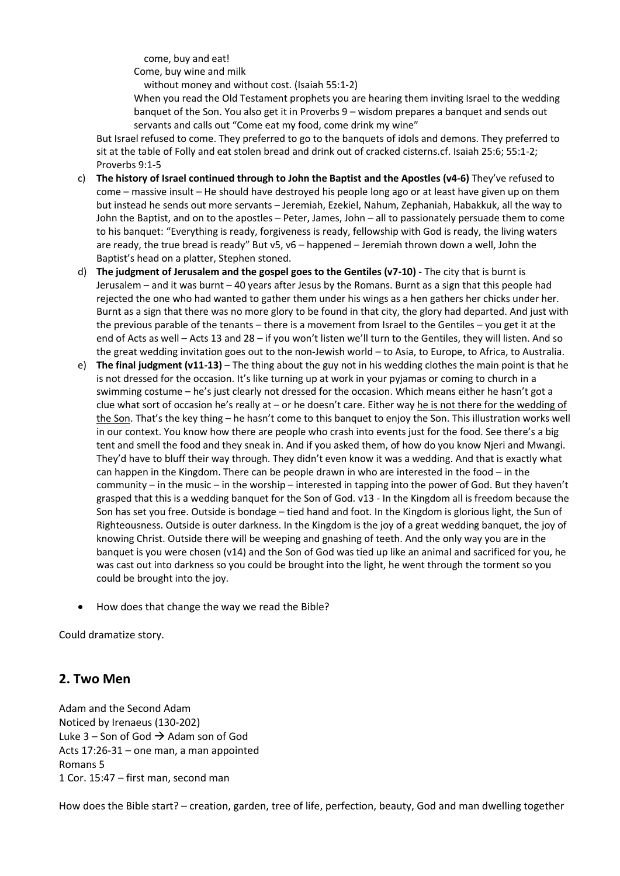come, buy and eat!

Come, buy wine and milk

without money and without cost. (Isaiah 55:1-2)

When you read the Old Testament prophets you are hearing them inviting Israel to the wedding banquet of the Son. You also get it in Proverbs 9 – wisdom prepares a banquet and sends out servants and calls out "Come eat my food, come drink my wine"

But Israel refused to come. They preferred to go to the banquets of idols and demons. They preferred to sit at the table of Folly and eat stolen bread and drink out of cracked cisterns.cf. Isaiah 25:6; 55:1-2; Proverbs 9:1-5

- c) **The history of Israel continued through to John the Baptist and the Apostles (v4-6)** They've refused to come – massive insult – He should have destroyed his people long ago or at least have given up on them but instead he sends out more servants – Jeremiah, Ezekiel, Nahum, Zephaniah, Habakkuk, all the way to John the Baptist, and on to the apostles – Peter, James, John – all to passionately persuade them to come to his banquet: "Everything is ready, forgiveness is ready, fellowship with God is ready, the living waters are ready, the true bread is ready" But v5, v6 – happened – Jeremiah thrown down a well, John the Baptist's head on a platter, Stephen stoned.
- d) **The judgment of Jerusalem and the gospel goes to the Gentiles (v7-10)** The city that is burnt is Jerusalem – and it was burnt – 40 years after Jesus by the Romans. Burnt as a sign that this people had rejected the one who had wanted to gather them under his wings as a hen gathers her chicks under her. Burnt as a sign that there was no more glory to be found in that city, the glory had departed. And just with the previous parable of the tenants – there is a movement from Israel to the Gentiles – you get it at the end of Acts as well – Acts 13 and 28 – if you won't listen we'll turn to the Gentiles, they will listen. And so the great wedding invitation goes out to the non-Jewish world – to Asia, to Europe, to Africa, to Australia.
- e) **The final judgment (v11-13)** The thing about the guy not in his wedding clothes the main point is that he is not dressed for the occasion. It's like turning up at work in your pyjamas or coming to church in a swimming costume – he's just clearly not dressed for the occasion. Which means either he hasn't got a clue what sort of occasion he's really at – or he doesn't care. Either way he is not there for the wedding of the Son. That's the key thing - he hasn't come to this banquet to enjoy the Son. This illustration works well in our context. You know how there are people who crash into events just for the food. See there's a big tent and smell the food and they sneak in. And if you asked them, of how do you know Njeri and Mwangi. They'd have to bluff their way through. They didn't even know it was a wedding. And that is exactly what can happen in the Kingdom. There can be people drawn in who are interested in the food – in the community – in the music – in the worship – interested in tapping into the power of God. But they haven't grasped that this is a wedding banquet for the Son of God. v13 - In the Kingdom all is freedom because the Son has set you free. Outside is bondage – tied hand and foot. In the Kingdom is glorious light, the Sun of Righteousness. Outside is outer darkness. In the Kingdom is the joy of a great wedding banquet, the joy of knowing Christ. Outside there will be weeping and gnashing of teeth. And the only way you are in the banquet is you were chosen (v14) and the Son of God was tied up like an animal and sacrificed for you, he was cast out into darkness so you could be brought into the light, he went through the torment so you could be brought into the joy.
- How does that change the way we read the Bible?

Could dramatize story.

#### **2. Two Men**

Adam and the Second Adam Noticed by Irenaeus (130-202) Luke 3 – Son of God  $\rightarrow$  Adam son of God Acts 17:26-31 – one man, a man appointed Romans 5 1 Cor. 15:47 – first man, second man

How does the Bible start? – creation, garden, tree of life, perfection, beauty, God and man dwelling together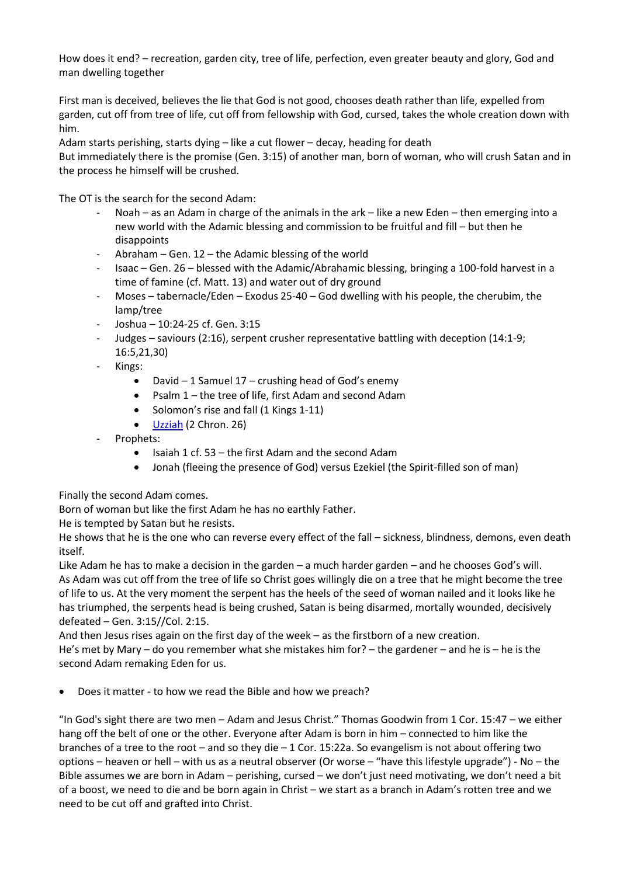How does it end? – recreation, garden city, tree of life, perfection, even greater beauty and glory, God and man dwelling together

First man is deceived, believes the lie that God is not good, chooses death rather than life, expelled from garden, cut off from tree of life, cut off from fellowship with God, cursed, takes the whole creation down with him.

Adam starts perishing, starts dying – like a cut flower – decay, heading for death

But immediately there is the promise (Gen. 3:15) of another man, born of woman, who will crush Satan and in the process he himself will be crushed.

The OT is the search for the second Adam:

- Noah as an Adam in charge of the animals in the ark like a new Eden then emerging into a new world with the Adamic blessing and commission to be fruitful and fill – but then he disappoints
- Abraham Gen.  $12$  the Adamic blessing of the world
- Isaac Gen. 26 blessed with the Adamic/Abrahamic blessing, bringing a 100-fold harvest in a time of famine (cf. Matt. 13) and water out of dry ground
- $M$ oses tabernacle/Eden Exodus 25-40 God dwelling with his people, the cherubim, the lamp/tree
- Joshua 10:24-25 cf. Gen. 3:15
- Judges saviours (2:16), serpent crusher representative battling with deception (14:1-9; 16:5,21,30)
- Kings:
	- David  $-1$  Samuel 17 crushing head of God's enemy
	- Psalm 1 the tree of life, first Adam and second Adam
	- Solomon's rise and fall (1 Kings 1-11)
	- $\bullet$  [Uzziah](http://watumishiwaneno.wordpress.com/2013/05/25/two-leadership-shapes/) (2 Chron. 26)
- Prophets:
	- $\bullet$  Isaiah 1 cf. 53 the first Adam and the second Adam
	- Jonah (fleeing the presence of God) versus Ezekiel (the Spirit-filled son of man)

Finally the second Adam comes.

Born of woman but like the first Adam he has no earthly Father.

He is tempted by Satan but he resists.

He shows that he is the one who can reverse every effect of the fall – sickness, blindness, demons, even death itself.

Like Adam he has to make a decision in the garden – a much harder garden – and he chooses God's will. As Adam was cut off from the tree of life so Christ goes willingly die on a tree that he might become the tree of life to us. At the very moment the serpent has the heels of the seed of woman nailed and it looks like he has triumphed, the serpents head is being crushed, Satan is being disarmed, mortally wounded, decisively defeated – Gen. 3:15//Col. 2:15.

And then Jesus rises again on the first day of the week – as the firstborn of a new creation. He's met by Mary – do you remember what she mistakes him for? – the gardener – and he is – he is the second Adam remaking Eden for us.

Does it matter - to how we read the Bible and how we preach?

"In God's sight there are two men – Adam and Jesus Christ." Thomas Goodwin from 1 Cor. 15:47 – we either hang off the belt of one or the other. Everyone after Adam is born in him – connected to him like the branches of a tree to the root – and so they die – 1 Cor. 15:22a. So evangelism is not about offering two options – heaven or hell – with us as a neutral observer (Or worse – "have this lifestyle upgrade") - No – the Bible assumes we are born in Adam – perishing, cursed – we don't just need motivating, we don't need a bit of a boost, we need to die and be born again in Christ – we start as a branch in Adam's rotten tree and we need to be cut off and grafted into Christ.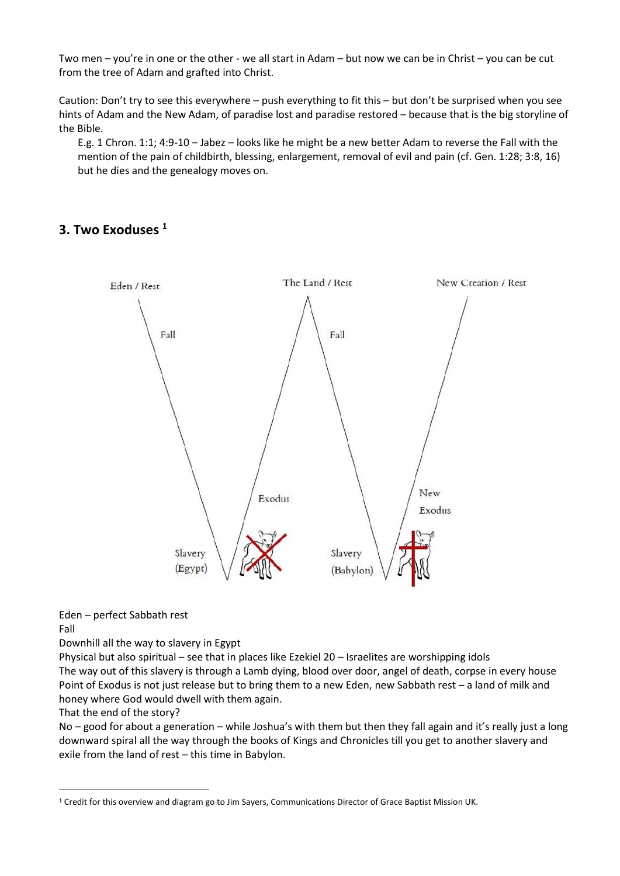Two men – you're in one or the other - we all start in Adam – but now we can be in Christ – you can be cut from the tree of Adam and grafted into Christ.

Caution: Don't try to see this everywhere – push everything to fit this – but don't be surprised when you see hints of Adam and the New Adam, of paradise lost and paradise restored – because that is the big storyline of the Bible.

E.g. 1 Chron. 1:1; 4:9-10 – Jabez – looks like he might be a new better Adam to reverse the Fall with the mention of the pain of childbirth, blessing, enlargement, removal of evil and pain (cf. Gen. 1:28; 3:8, 16) but he dies and the genealogy moves on.

#### **3. Two Exoduses <sup>1</sup>**



Eden – perfect Sabbath rest

Fall

<u>.</u>

Downhill all the way to slavery in Egypt

Physical but also spiritual – see that in places like Ezekiel 20 – Israelites are worshipping idols The way out of this slavery is through a Lamb dying, blood over door, angel of death, corpse in every house Point of Exodus is not just release but to bring them to a new Eden, new Sabbath rest – a land of milk and honey where God would dwell with them again.

That the end of the story?

No – good for about a generation – while Joshua's with them but then they fall again and it's really just a long downward spiral all the way through the books of Kings and Chronicles till you get to another slavery and exile from the land of rest – this time in Babylon.

<sup>1</sup> Credit for this overview and diagram go to Jim Sayers, Communications Director of Grace Baptist Mission UK.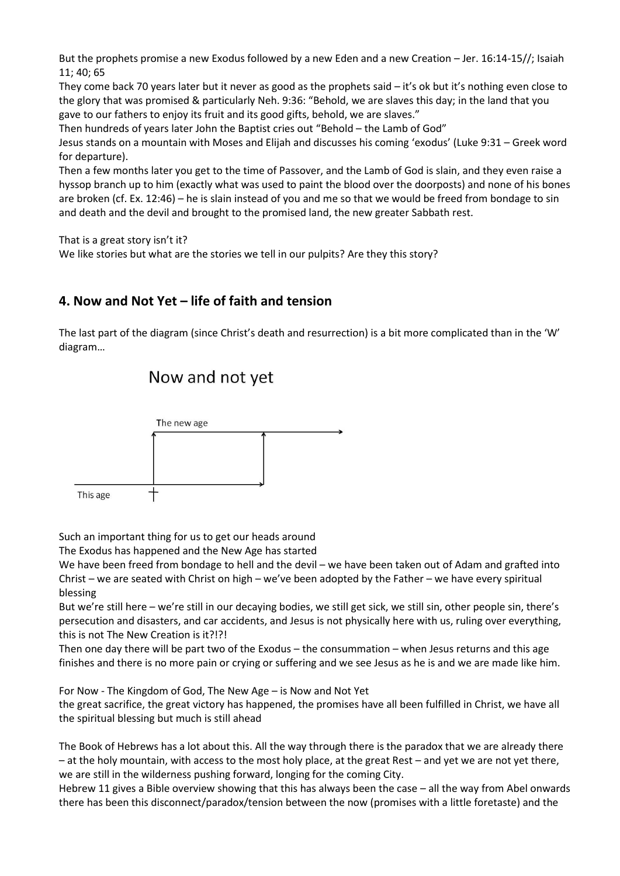But the prophets promise a new Exodus followed by a new Eden and a new Creation – Jer. 16:14-15//; Isaiah 11; 40; 65

They come back 70 years later but it never as good as the prophets said – it's ok but it's nothing even close to the glory that was promised & particularly Neh. 9:36: "Behold, we are slaves this day; in the land that you gave to our fathers to enjoy its fruit and its good gifts, behold, we are slaves."

Then hundreds of years later John the Baptist cries out "Behold – the Lamb of God"

Jesus stands on a mountain with Moses and Elijah and discusses his coming 'exodus' (Luke 9:31 – Greek word for departure).

Then a few months later you get to the time of Passover, and the Lamb of God is slain, and they even raise a hyssop branch up to him (exactly what was used to paint the blood over the doorposts) and none of his bones are broken (cf. Ex. 12:46) – he is slain instead of you and me so that we would be freed from bondage to sin and death and the devil and brought to the promised land, the new greater Sabbath rest.

That is a great story isn't it?

We like stories but what are the stories we tell in our pulpits? Are they this story?

#### **4. Now and Not Yet – life of faith and tension**

The last part of the diagram (since Christ's death and resurrection) is a bit more complicated than in the 'W' diagram…

## Now and not yet



Such an important thing for us to get our heads around

The Exodus has happened and the New Age has started

We have been freed from bondage to hell and the devil – we have been taken out of Adam and grafted into Christ – we are seated with Christ on high – we've been adopted by the Father – we have every spiritual blessing

But we're still here – we're still in our decaying bodies, we still get sick, we still sin, other people sin, there's persecution and disasters, and car accidents, and Jesus is not physically here with us, ruling over everything, this is not The New Creation is it?!?!

Then one day there will be part two of the Exodus – the consummation – when Jesus returns and this age finishes and there is no more pain or crying or suffering and we see Jesus as he is and we are made like him.

For Now - The Kingdom of God, The New Age – is Now and Not Yet

the great sacrifice, the great victory has happened, the promises have all been fulfilled in Christ, we have all the spiritual blessing but much is still ahead

The Book of Hebrews has a lot about this. All the way through there is the paradox that we are already there – at the holy mountain, with access to the most holy place, at the great Rest – and yet we are not yet there, we are still in the wilderness pushing forward, longing for the coming City.

Hebrew 11 gives a Bible overview showing that this has always been the case – all the way from Abel onwards there has been this disconnect/paradox/tension between the now (promises with a little foretaste) and the